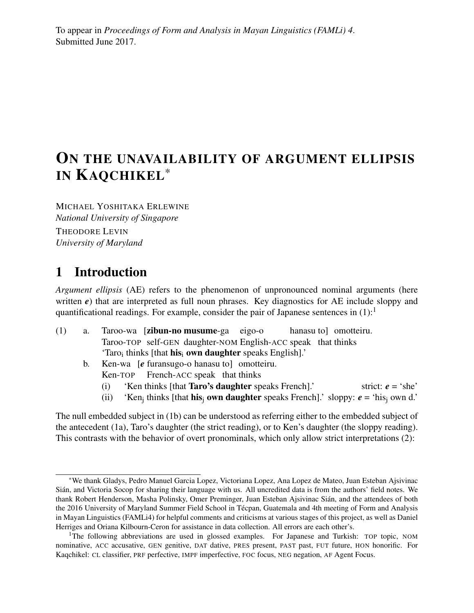To appear in *Proceedings of Form and Analysis in Mayan Linguistics (FAMLi) 4*. Submitted June 2017.

# ON THE UNAVAILABILITY OF ARGUMENT ELLIPSIS IN KAQCHIKEL\*

MICHAEL YOSHITAKA ERLEWINE *National University of Singapore*

THEODORE LEVIN *University of Maryland*

# 1 Introduction

*Argument ellipsis* (AE) refers to the phenomenon of unpronounced nominal arguments (here written  $e$ ) that are interpreted as full noun phrases. Key diagnostics for AE include sloppy and quantificational readings. For example, consider the pair of Japanese sentences in  $(1)$ :<sup>1</sup>

- (1) a. Taroo-wa [zibun-no musume-ga eigo-o Taroo-TOP self-GEN daughter-NOM English-ACC speak that thinks hanasu to] omotteiru. 'Taro<sub>i</sub> thinks [that **his**<sub>i</sub> own daughter speaks English].'
	- b. Ken-wa [*e* furansugo-o hanasu to] omotteiru. Ken-TOP French-ACC speak that thinks
		- (i) 'Ken thinks [that **Taro's daughter** speaks French].' strict:  $e = 'she'$
		- (ii) 'Ken<sub>j</sub> thinks [that **his**<sub>j</sub> **own daughter** speaks French].' sloppy:  $e = 'his_j$  own d.'

The null embedded subject in (1b) can be understood as referring either to the embedded subject of the antecedent (1a), Taro's daughter (the strict reading), or to Ken's daughter (the sloppy reading). This contrasts with the behavior of overt pronominals, which only allow strict interpretations (2):

<sup>\*</sup>We thank Gladys, Pedro Manuel Garcia Lopez, Victoriana Lopez, Ana Lopez de Mateo, Juan Esteban Ajsivinac Sián, and Victoria Socop for sharing their language with us. All uncredited data is from the authors' field notes. We thank Robert Henderson, Masha Polinsky, Omer Preminger, Juan Esteban Ajsivinac Sián, and the attendees of both the 2016 University of Maryland Summer Field School in Técpan, Guatemala and 4th meeting of Form and Analysis in Mayan Linguistics (FAMLi4) for helpful comments and criticisms at various stages of this project, as well as Daniel Herriges and Oriana Kilbourn-Ceron for assistance in data collection. All errors are each other's.

<sup>&</sup>lt;sup>1</sup>The following abbreviations are used in glossed examples. For Japanese and Turkish: TOP topic, NOM nominative, ACC accusative, GEN genitive, DAT dative, PRES present, PAST past, FUT future, HON honorific. For Kaqchikel: CL classifier, PRF perfective, IMPF imperfective, FOC focus, NEG negation, AF Agent Focus.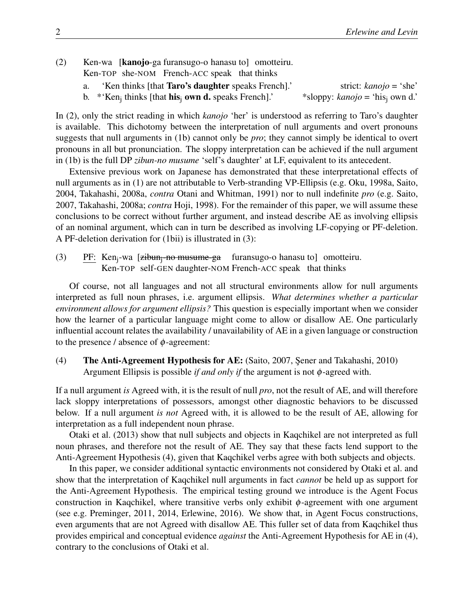- (2) Ken-wa [kanojo-ga furansugo-o hanasu to] omotteiru. Ken-TOP she-NOM French-ACC speak that thinks
	- a. 'Ken thinks [that Taro's daughter speaks French].' strict: *kanojo* = 'she'

b. \*'Ken<sup>j</sup> thinks [that his<sup>j</sup> own d. speaks French].' \*sloppy: *kanojo* = 'his<sup>j</sup> own d.'

In (2), only the strict reading in which *kanojo* 'her' is understood as referring to Taro's daughter is available. This dichotomy between the interpretation of null arguments and overt pronouns suggests that null arguments in (1b) cannot only be *pro*; they cannot simply be identical to overt pronouns in all but pronunciation. The sloppy interpretation can be achieved if the null argument in (1b) is the full DP *zibun-no musume* 'self's daughter' at LF, equivalent to its antecedent.

Extensive previous work on Japanese has demonstrated that these interpretational effects of null arguments as in (1) are not attributable to Verb-stranding VP-Ellipsis (e.g. Oku, 1998a, Saito, 2004, Takahashi, 2008a, *contra* Otani and Whitman, 1991) nor to null indefinite *pro* (e.g. Saito, 2007, Takahashi, 2008a; *contra* Hoji, 1998). For the remainder of this paper, we will assume these conclusions to be correct without further argument, and instead describe AE as involving ellipsis of an nominal argument, which can in turn be described as involving LF-copying or PF-deletion. A PF-deletion derivation for (1bii) is illustrated in (3):

(3) PE: Ken<sub>j</sub>-wa [zibun<sub>j</sub>-no-musume-ga furansugo-o hanasu to] omotteiru. Ken-TOP self-GEN daughter-NOM French-ACC speak that thinks

Of course, not all languages and not all structural environments allow for null arguments interpreted as full noun phrases, i.e. argument ellipsis. *What determines whether a particular environment allows for argument ellipsis?* This question is especially important when we consider how the learner of a particular language might come to allow or disallow AE. One particularly influential account relates the availability / unavailability of AE in a given language or construction to the presence / absence of  $\phi$ -agreement:

(4) The Anti-Agreement Hypothesis for AE: (Saito, 2007, Şener and Takahashi, 2010) Argument Ellipsis is possible *if and only if* the argument is not φ-agreed with.

If a null argument *is* Agreed with, it is the result of null *pro*, not the result of AE, and will therefore lack sloppy interpretations of possessors, amongst other diagnostic behaviors to be discussed below. If a null argument *is not* Agreed with, it is allowed to be the result of AE, allowing for interpretation as a full independent noun phrase.

Otaki et al. (2013) show that null subjects and objects in Kaqchikel are not interpreted as full noun phrases, and therefore not the result of AE. They say that these facts lend support to the Anti-Agreement Hypothesis (4), given that Kaqchikel verbs agree with both subjects and objects.

In this paper, we consider additional syntactic environments not considered by Otaki et al. and show that the interpretation of Kaqchikel null arguments in fact *cannot* be held up as support for the Anti-Agreement Hypothesis. The empirical testing ground we introduce is the Agent Focus construction in Kaqchikel, where transitive verbs only exhibit  $\phi$ -agreement with one argument (see e.g. Preminger, 2011, 2014, Erlewine, 2016). We show that, in Agent Focus constructions, even arguments that are not Agreed with disallow AE. This fuller set of data from Kaqchikel thus provides empirical and conceptual evidence *against* the Anti-Agreement Hypothesis for AE in (4), contrary to the conclusions of Otaki et al.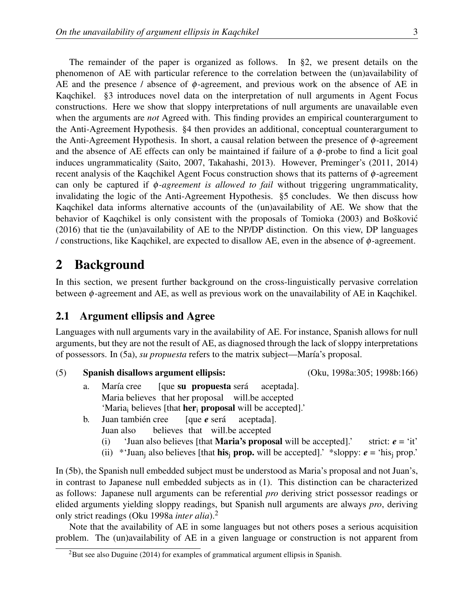The remainder of the paper is organized as follows. In §2, we present details on the phenomenon of AE with particular reference to the correlation between the (un)availability of AE and the presence / absence of  $\phi$ -agreement, and previous work on the absence of AE in Kaqchikel. §3 introduces novel data on the interpretation of null arguments in Agent Focus constructions. Here we show that sloppy interpretations of null arguments are unavailable even when the arguments are *not* Agreed with. This finding provides an empirical counterargument to the Anti-Agreement Hypothesis. §4 then provides an additional, conceptual counterargument to the Anti-Agreement Hypothesis. In short, a causal relation between the presence of  $\phi$ -agreement and the absence of AE effects can only be maintained if failure of a  $\phi$ -probe to find a licit goal induces ungrammaticality (Saito, 2007, Takahashi, 2013). However, Preminger's (2011, 2014) recent analysis of the Kaqchikel Agent Focus construction shows that its patterns of  $\phi$ -agreement can only be captured if φ*-agreement is allowed to fail* without triggering ungrammaticality, invalidating the logic of the Anti-Agreement Hypothesis. §5 concludes. We then discuss how Kaqchikel data informs alternative accounts of the (un)availability of AE. We show that the behavior of Kaqchikel is only consistent with the proposals of Tomioka (2003) and Boškovic´ (2016) that tie the (un)availability of AE to the NP/DP distinction. On this view, DP languages / constructions, like Kaqchikel, are expected to disallow AE, even in the absence of φ-agreement.

# 2 Background

In this section, we present further background on the cross-linguistically pervasive correlation between  $\phi$ -agreement and AE, as well as previous work on the unavailability of AE in Kaqchikel.

### 2.1 Argument ellipsis and Agree

Languages with null arguments vary in the availability of AE. For instance, Spanish allows for null arguments, but they are not the result of AE, as diagnosed through the lack of sloppy interpretations of possessors. In (5a), *su propuesta* refers to the matrix subject—María's proposal.

(5) Spanish disallows argument ellipsis: (Oku, 1998a:305; 1998b:166)

- a. María cree Maria believes that her proposal will.be accepted [que su propuesta será aceptada]. 'Maria<sub>i</sub> believes [that **her**<sub>i</sub> **proposal** will be accepted].'
- b. Juan también cree Juan also believes that will.be accepted [que *e* será aceptada].
	- (i) 'Juan also believes [that **Maria's proposal** will be accepted].' strict:  $e = \text{`it'}$
	- (ii)  $*$  Juan<sub>i</sub> also believes [that **his**<sub>i</sub> prop. will be accepted].'  $*$  sloppy:  $e = 'his$ <sub>i</sub> prop.'

In (5b), the Spanish null embedded subject must be understood as Maria's proposal and not Juan's, in contrast to Japanese null embedded subjects as in (1). This distinction can be characterized as follows: Japanese null arguments can be referential *pro* deriving strict possessor readings or elided arguments yielding sloppy readings, but Spanish null arguments are always *pro*, deriving only strict readings (Oku 1998a *inter alia*).<sup>2</sup>

Note that the availability of AE in some languages but not others poses a serious acquisition problem. The (un)availability of AE in a given language or construction is not apparent from

 ${}^{2}$ But see also Duguine (2014) for examples of grammatical argument ellipsis in Spanish.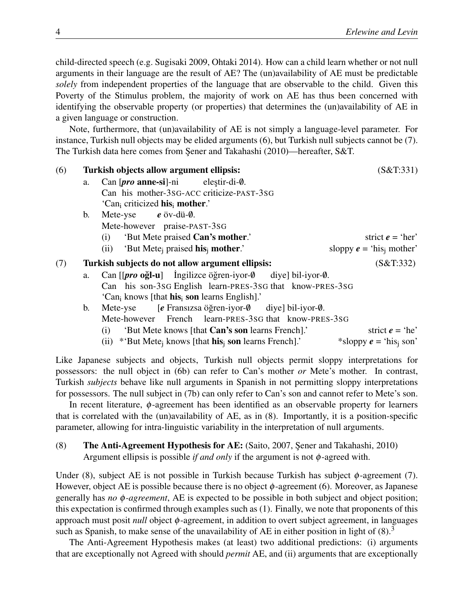child-directed speech (e.g. Sugisaki 2009, Ohtaki 2014). How can a child learn whether or not null arguments in their language are the result of AE? The (un)availability of AE must be predictable *solely* from independent properties of the language that are observable to the child. Given this Poverty of the Stimulus problem, the majority of work on AE has thus been concerned with identifying the observable property (or properties) that determines the (un)availability of AE in a given language or construction.

Note, furthermore, that (un)availability of AE is not simply a language-level parameter. For instance, Turkish null objects may be elided arguments (6), but Turkish null subjects cannot be (7). The Turkish data here comes from Şener and Takahashi (2010)—hereafter, S&T.

| (6) |                | Turkish objects allow argument ellipsis:                                                    | (S&T:331)                            |  |
|-----|----------------|---------------------------------------------------------------------------------------------|--------------------------------------|--|
|     | a.             | Can $[\text{pro}\,\text{anne-si}]$ -ni elestir-di- $\emptyset$ .                            |                                      |  |
|     |                | Can his mother-3sG-ACC criticize-PAST-3sG                                                   |                                      |  |
|     |                | 'Can <sub>i</sub> criticized his mother.'                                                   |                                      |  |
|     | $\mathbf{b}$ . | Mete-yse $e$ öv-dü- $\emptyset$ .                                                           |                                      |  |
|     |                | Mete-however praise-PAST-3SG                                                                |                                      |  |
|     |                | (i) 'But Mete praised Can's mother.'                                                        | strict $e = 'her'$                   |  |
|     |                | (ii) 'But Mete <sub>i</sub> praised <b>his</b> <sub>i</sub> mother.'                        | sloppy $e = 'his_i$ mother'          |  |
| (7) |                | Turkish subjects do not allow argument ellipsis:                                            | (S&T:332)                            |  |
|     | a.             | Can $[$ <i>pro</i> oğl-u $]$ Ingilizce öğren-iyor- $\emptyset$ diye bil-iyor- $\emptyset$ . |                                      |  |
|     |                | Can his son-3sG English learn-PRES-3sG that know-PRES-3sG                                   |                                      |  |
|     |                | 'Can <sub>i</sub> knows [that <b>his</b> <sub>i</sub> son learns English].'                 |                                      |  |
|     | $\mathbf{b}$ . | [e Fransızsa öğren-iyor-Ø diye] bil-iyor-Ø.<br>Mete-yse                                     |                                      |  |
|     |                | Mete-however French learn-PRES-3SG that know-PRES-3SG                                       |                                      |  |
|     |                | 'But Mete knows [that Can's son learns French].'<br>(i)                                     | strict $e = 'he'$                    |  |
|     |                | (ii) *'But Mete <sub>i</sub> knows [that <b>his</b> <sub>i</sub> son learns French].'       | *sloppy $e =$ 'his <sub>i</sub> son' |  |
|     |                |                                                                                             |                                      |  |

Like Japanese subjects and objects, Turkish null objects permit sloppy interpretations for possessors: the null object in (6b) can refer to Can's mother *or* Mete's mother. In contrast, Turkish *subjects* behave like null arguments in Spanish in not permitting sloppy interpretations for possessors. The null subject in (7b) can only refer to Can's son and cannot refer to Mete's son.

In recent literature,  $\phi$ -agreement has been identified as an observable property for learners that is correlated with the (un)availability of AE, as in (8). Importantly, it is a position-specific parameter, allowing for intra-linguistic variability in the interpretation of null arguments.

### (8) The Anti-Agreement Hypothesis for AE: (Saito, 2007, ¸Sener and Takahashi, 2010) Argument ellipsis is possible *if and only* if the argument is not φ-agreed with.

Under (8), subject AE is not possible in Turkish because Turkish has subject  $\phi$ -agreement (7). However, object AE is possible because there is no object  $\phi$ -agreement (6). Moreover, as Japanese generally has *no* φ*-agreement*, AE is expected to be possible in both subject and object position; this expectation is confirmed through examples such as (1). Finally, we note that proponents of this approach must posit *null* object φ-agreement, in addition to overt subject agreement, in languages such as Spanish, to make sense of the unavailability of AE in either position in light of  $(8)$ .<sup>3</sup>

The Anti-Agreement Hypothesis makes (at least) two additional predictions: (i) arguments that are exceptionally not Agreed with should *permit* AE, and (ii) arguments that are exceptionally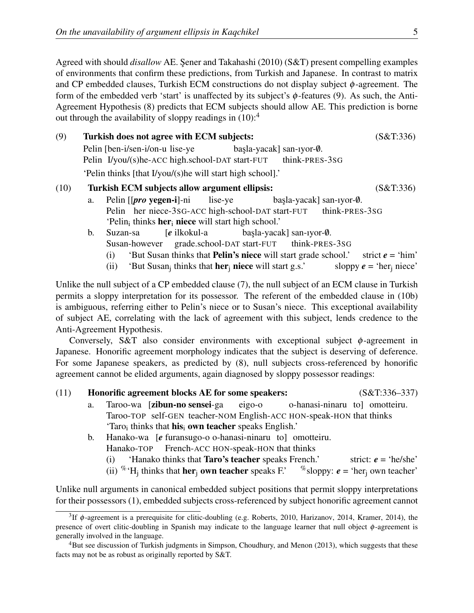Agreed with should *disallow* AE. Şener and Takahashi (2010) (S&T) present compelling examples of environments that confirm these predictions, from Turkish and Japanese. In contrast to matrix and CP embedded clauses, Turkish ECM constructions do not display subject  $\phi$ -agreement. The form of the embedded verb 'start' is unaffected by its subject's  $\phi$ -features (9). As such, the Anti-Agreement Hypothesis (8) predicts that ECM subjects should allow AE. This prediction is borne out through the availability of sloppy readings in  $(10)$ :<sup>4</sup>

| (9)  | Turkish does not agree with ECM subjects:                  |                                                                                            |           |  |  |  |
|------|------------------------------------------------------------|--------------------------------------------------------------------------------------------|-----------|--|--|--|
|      |                                                            | Pelin [ben-i/sen-i/on-u lise-ye<br>$basla$ -yacak] san-iyor- $\emptyset$ .                 |           |  |  |  |
|      |                                                            | Pelin I/you/(s)he-ACC high.school-DAT start-FUT think-PRES-3SG                             |           |  |  |  |
|      | 'Pelin thinks [that I/you/(s) he will start high school].' |                                                                                            |           |  |  |  |
| (10) |                                                            | Turkish ECM subjects allow argument ellipsis:                                              | (S&T:336) |  |  |  |
|      | a.                                                         | Pelin $[$ <i>pro</i> yegen-i $]$ -ni<br>$basla$ -yacak] san-iyor- $\emptyset$ .<br>lise-ye |           |  |  |  |
|      |                                                            | Pelin her niece-3sG-ACC high-school-DAT start-FUT think-PRES-3sG                           |           |  |  |  |
|      |                                                            | 'Pelin <sub>i</sub> thinks <b>her</b> <sub>i</sub> <b>niece</b> will start high school.'   |           |  |  |  |

- b. Suzan-sa Susan-however [*e* ilkokul-a grade.school-DAT start-FUT başla-yacak] san-ıyor-Ø. think-PRES-3SG (i) 'But Susan thinks that **Pelin's niece** will start grade school.' strict  $e = 'him'$ 
	- (ii) 'But Susan<sub>j</sub> thinks that **her<sub>j</sub> niece** will start g.s.' sloppy  $e = 'her_j$  niece'

Unlike the null subject of a CP embedded clause (7), the null subject of an ECM clause in Turkish permits a sloppy interpretation for its possessor. The referent of the embedded clause in (10b) is ambiguous, referring either to Pelin's niece or to Susan's niece. This exceptional availability of subject AE, correlating with the lack of agreement with this subject, lends credence to the Anti-Agreement Hypothesis.

Conversely, S&T also consider environments with exceptional subject  $\phi$ -agreement in Japanese. Honorific agreement morphology indicates that the subject is deserving of deference. For some Japanese speakers, as predicted by (8), null subjects cross-referenced by honorific agreement cannot be elided arguments, again diagnosed by sloppy possessor readings:

#### (11) Honorific agreement blocks AE for some speakers: (S&T:336–337)

- a. Taroo-wa [**zibun-no sensei**-ga Taroo-TOP self-GEN teacher-NOM English-ACC HON-speak-HON that thinks eigo-o o-hanasi-ninaru to] omotteiru. 'Taro<sub>i</sub> thinks that **his**<sub>i</sub> **own teacher** speaks English.'
- b. Hanako-wa [*e* furansugo-o o-hanasi-ninaru to] omotteiru. Hanako-TOP French-ACC HON-speak-HON that thinks
	- (i) 'Hanako thinks that **Taro's teacher** speaks French.' strict:  $e = \text{`he/she'}$
	- (ii) <sup>%</sup> 'H<sub>j</sub> thinks that **her<sub>j</sub> own teacher** speaks F.' <sup>%</sup> sloppy:  $e =$  'her<sub>j</sub> own teacher'

Unlike null arguments in canonical embedded subject positions that permit sloppy interpretations for their possessors (1), embedded subjects cross-referenced by subject honorific agreement cannot

<sup>&</sup>lt;sup>3</sup>If  $\phi$ -agreement is a prerequisite for clitic-doubling (e.g. Roberts, 2010, Harizanov, 2014, Kramer, 2014), the presence of overt clitic-doubling in Spanish may indicate to the language learner that null object φ-agreement is generally involved in the language.

<sup>&</sup>lt;sup>4</sup>But see discussion of Turkish judgments in Simpson, Choudhury, and Menon (2013), which suggests that these facts may not be as robust as originally reported by S&T.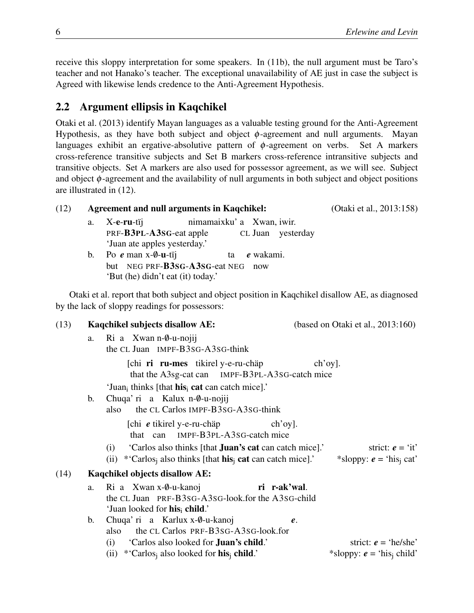receive this sloppy interpretation for some speakers. In (11b), the null argument must be Taro's teacher and not Hanako's teacher. The exceptional unavailability of AE just in case the subject is Agreed with likewise lends credence to the Anti-Agreement Hypothesis.

### 2.2 Argument ellipsis in Kaqchikel

Otaki et al. (2013) identify Mayan languages as a valuable testing ground for the Anti-Agreement Hypothesis, as they have both subject and object  $\phi$ -agreement and null arguments. Mayan languages exhibit an ergative-absolutive pattern of  $\phi$ -agreement on verbs. Set A markers cross-reference transitive subjects and Set B markers cross-reference intransitive subjects and transitive objects. Set A markers are also used for possessor agreement, as we will see. Subject and object  $\phi$ -agreement and the availability of null arguments in both subject and object positions are illustrated in (12).

| (12) |                | <b>Agreement and null arguments in Kaqchikel:</b>                                                                                                                      | (Otaki et al., 2013:158)                                          |
|------|----------------|------------------------------------------------------------------------------------------------------------------------------------------------------------------------|-------------------------------------------------------------------|
|      | a.             | nimamaixku' a Xwan, iwir.<br>X-e-ru-tij<br>PRF-B3PL-A3SG-eat apple<br>CL Juan yesterday<br>'Juan ate apples yesterday.'                                                |                                                                   |
|      | $\mathbf{b}$ . | Po $e$ man x- $\emptyset$ -u-tij<br>e wakami.<br>ta<br>but NEG PRF-B3SG-A3SG-eat NEG<br>now<br>'But (he) didn't eat (it) today.'                                       |                                                                   |
|      |                | Otaki et al. report that both subject and object position in Kaqchikel disallow AE, as diagnosed<br>by the lack of sloppy readings for possessors:                     |                                                                   |
| (13) |                | Kaqchikel subjects disallow AE:                                                                                                                                        | (based on Otaki et al., $2013:160$ )                              |
|      | a.             | Ri a Xwan n-0-u-nojij<br>the CL Juan IMPF-B3SG-A3SG-think                                                                                                              |                                                                   |
|      |                | [chi ri ru-mes tikirel y-e-ru-chap<br>that the A3sg-cat can IMPF-B3PL-A3sG-catch mice<br>'Juan <sub>i</sub> thinks [that <b>his</b> <sub>i</sub> cat can catch mice].' | $\chi$ ch'oy].                                                    |
|      | b.             | Chuqa' ri a Kalux n-0-u-nojij<br>the CL Carlos IMPF-B3SG-A3SG-think<br>also                                                                                            |                                                                   |
|      |                | [chi $e$ tikirel y-e-ru-chap<br>$\lfloor$ ch'oy $\rfloor$ .<br>that can IMPF-B3PL-A3sG-catch mice                                                                      |                                                                   |
|      |                | 'Carlos also thinks [that <b>Juan's cat</b> can catch mice].'<br>(i)<br>(ii) *'Carlos <sub>i</sub> also thinks [that <b>his</b> <sub>i</sub> cat can catch mice].'     | strict: $e = \text{`it'}$<br>*sloppy: $e = 'his_i cat'$           |
| (14) |                | Kaqchikel objects disallow AE:                                                                                                                                         |                                                                   |
|      | a.             | Ri a Xwan x-0-u-kanoj<br>ri r-ak'wal.<br>the CL Juan PRF-B3sG-A3sG-look.for the A3sG-child<br>'Juan looked for his <sub>i</sub> child.'                                |                                                                   |
|      | b.             | Chuqa' ri a Karlux x-0-u-kanoj<br>$\boldsymbol{e}$ .<br>the CL Carlos PRF-B3SG-A3SG-look.for<br>also                                                                   |                                                                   |
|      |                | (i) 'Carlos also looked for <b>Juan's child.'</b><br>(ii) *'Carlos <sub>i</sub> also looked for <b>his</b> <sub>i</sub> child.'                                        | strict: $e = 'he/she'$<br>*sloppy: $e =$ 'his <sub>i</sub> child' |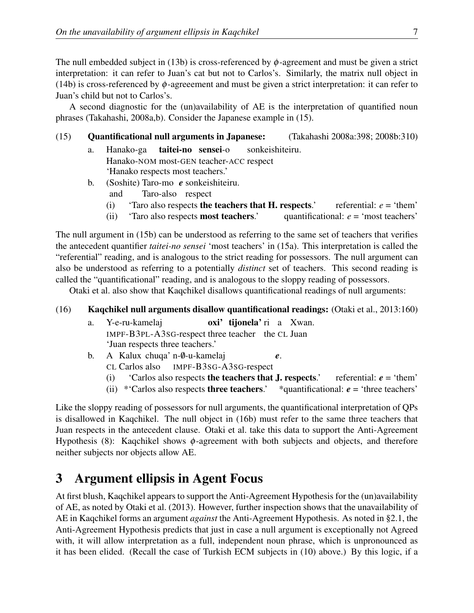The null embedded subject in (13b) is cross-referenced by  $\phi$ -agreement and must be given a strict interpretation: it can refer to Juan's cat but not to Carlos's. Similarly, the matrix null object in (14b) is cross-referenced by  $\phi$ -agreeement and must be given a strict interpretation: it can refer to Juan's child but not to Carlos's.

A second diagnostic for the (un)availability of AE is the interpretation of quantified noun phrases (Takahashi, 2008a,b). Consider the Japanese example in (15).

- (15) Quantificational null arguments in Japanese: (Takahashi 2008a:398; 2008b:310)
	- a. Hanako-ga Hanako-NOM most-GEN teacher-ACC respect taitei-no sensei-o sonkeishiteiru. 'Hanako respects most teachers.'
	- b. (Soshite) Taro-mo *e* sonkeishiteiru.
		- and Taro-also respect
		- (i) 'Taro also respects the teachers that H. respects.' referential:  $e = 'them'$
		- (ii) 'Taro also respects **most teachers.'** quantificational:  $e = \text{'most teachers'}$

The null argument in (15b) can be understood as referring to the same set of teachers that verifies the antecedent quantifier *taitei-no sensei* 'most teachers' in (15a). This interpretation is called the "referential" reading, and is analogous to the strict reading for possessors. The null argument can also be understood as referring to a potentially *distinct* set of teachers. This second reading is called the "quantificational" reading, and is analogous to the sloppy reading of possessors.

Otaki et al. also show that Kaqchikel disallows quantificational readings of null arguments:

#### (16) Kaqchikel null arguments disallow quantificational readings: (Otaki et al., 2013:160)

- a. Y-e-ru-kamelaj IMPF-B3PL-A3SG-respect three teacher the CL Juan oxi' tijonela'ri a Xwan. 'Juan respects three teachers.'
- b. A Kalux chuqa' n-0-u-kamelaj *e*.
	- CL Carlos also IMPF-B3SG-A3SG-respect
	- (i)  $\text{Carlos also respects}$  the teachers that **J. respects.'** referential:  $e = \text{'them'}$
	- (ii)  $*$  Carlos also respects **three teachers.'**  $*$  quantificational:  $e =$  three teachers'

Like the sloppy reading of possessors for null arguments, the quantificational interpretation of QPs is disallowed in Kaqchikel. The null object in (16b) must refer to the same three teachers that Juan respects in the antecedent clause. Otaki et al. take this data to support the Anti-Agreement Hypothesis (8): Kaqchikel shows φ-agreement with both subjects and objects, and therefore neither subjects nor objects allow AE.

## 3 Argument ellipsis in Agent Focus

At first blush, Kaqchikel appears to support the Anti-Agreement Hypothesis for the (un)availability of AE, as noted by Otaki et al. (2013). However, further inspection shows that the unavailability of AE in Kaqchikel forms an argument *against* the Anti-Agreement Hypothesis. As noted in §2.1, the Anti-Agreement Hypothesis predicts that just in case a null argument is exceptionally not Agreed with, it will allow interpretation as a full, independent noun phrase, which is unpronounced as it has been elided. (Recall the case of Turkish ECM subjects in (10) above.) By this logic, if a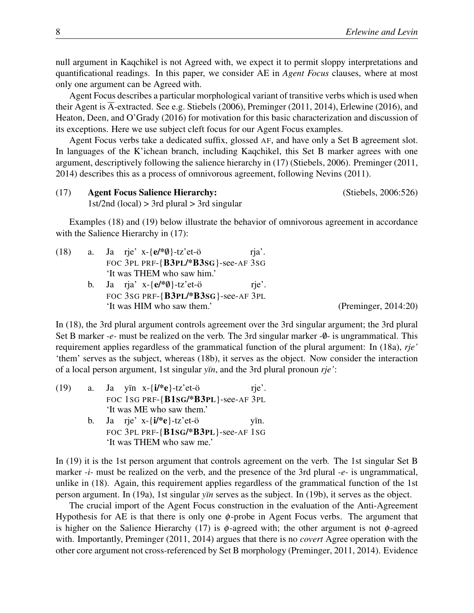null argument in Kaqchikel is not Agreed with, we expect it to permit sloppy interpretations and quantificational readings. In this paper, we consider AE in *Agent Focus* clauses, where at most only one argument can be Agreed with.

Agent Focus describes a particular morphological variant of transitive verbs which is used when their Agent is  $\overline{A}$ -extracted. See e.g. Stiebels (2006), Preminger (2011, 2014), Erlewine (2016), and Heaton, Deen, and O'Grady (2016) for motivation for this basic characterization and discussion of its exceptions. Here we use subject cleft focus for our Agent Focus examples.

Agent Focus verbs take a dedicated suffix, glossed AF, and have only a Set B agreement slot. In languages of the K'ichean branch, including Kaqchikel, this Set B marker agrees with one argument, descriptively following the salience hierarchy in (17) (Stiebels, 2006). Preminger (2011, 2014) describes this as a process of omnivorous agreement, following Nevins (2011).

(17) Agent Focus Salience Hierarchy: (Stiebels, 2006:526) 1st/2nd (local)  $> 3$ rd plural  $> 3$ rd singular

Examples (18) and (19) below illustrate the behavior of omnivorous agreement in accordance with the Salience Hierarchy in  $(17)$ :

| (18) | a. Ja rje' x- $\{e^{*\theta}\}$ -tz'et-ö<br>rja'.    |  |
|------|------------------------------------------------------|--|
|      | FOC 3PL PRF-{B3PL/*B3SG}-see-AF 3SG                  |  |
|      | 'It was THEM who saw him.'                           |  |
|      | b. Ja rja' x-{ $e$ /* $\emptyset$ }-tz'et-ö<br>rje'. |  |
|      | FOC 3SG PRF-{B3PL/*B3SG}-see-AF 3PL                  |  |
|      | 'It was HIM who saw them.'                           |  |

 $(Preminger, 2014:20)$ 

In (18), the 3rd plural argument controls agreement over the 3rd singular argument; the 3rd plural Set B marker *-e-* must be realized on the verb. The 3rd singular marker -0- is ungrammatical. This requirement applies regardless of the grammatical function of the plural argument: In (18a), *rje'* 'them' serves as the subject, whereas (18b), it serves as the object. Now consider the interaction of a local person argument, 1st singular *yïn*, and the 3rd plural pronoun *rje'*:

| (19) | a. Ja yin $x - \{i\}$ e}-tz'et-ö          | rje'. |
|------|-------------------------------------------|-------|
|      | FOC 1SG PRF- $\{B1SG/*B3PL\}$ -see-AF 3PL |       |
|      | 'It was ME who saw them.'                 |       |

b. Ja rje' x-{i/\*e}-tz'et-ö FOC 3PL PRF-{B1SG/\*B3PL}-see-AF 1SG yïn. 'It was THEM who saw me.'

In (19) it is the 1st person argument that controls agreement on the verb. The 1st singular Set B marker *-i-* must be realized on the verb, and the presence of the 3rd plural *-e-* is ungrammatical, unlike in (18). Again, this requirement applies regardless of the grammatical function of the 1st person argument. In (19a), 1st singular *yïn* serves as the subject. In (19b), it serves as the object.

The crucial import of the Agent Focus construction in the evaluation of the Anti-Agreement Hypothesis for AE is that there is only one  $\phi$ -probe in Agent Focus verbs. The argument that is higher on the Salience Hierarchy (17) is  $\phi$ -agreed with; the other argument is not  $\phi$ -agreed with. Importantly, Preminger (2011, 2014) argues that there is no *covert* Agree operation with the other core argument not cross-referenced by Set B morphology (Preminger, 2011, 2014). Evidence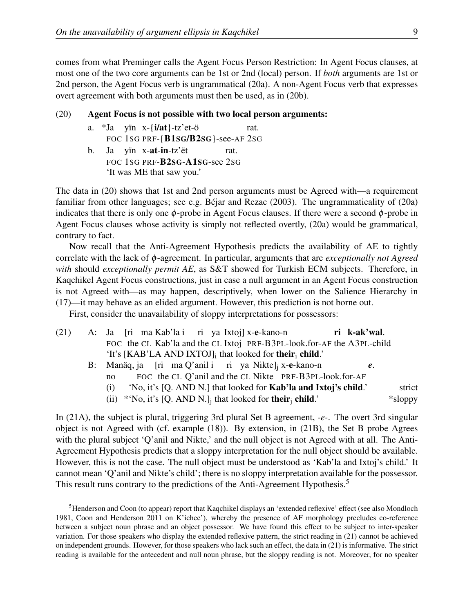comes from what Preminger calls the Agent Focus Person Restriction: In Agent Focus clauses, at most one of the two core arguments can be 1st or 2nd (local) person. If *both* arguments are 1st or 2nd person, the Agent Focus verb is ungrammatical (20a). A non-Agent Focus verb that expresses overt agreement with both arguments must then be used, as in (20b).

#### (20) Agent Focus is not possible with two local person arguments:

- a. \*Ja yïn x-{i/at}-tz'et-ö FOC 1SG PRF-{B1SG/B2SG}-see-AF 2SG rat.
- b. Ja yïn x-**at-in**-tz'ët FOC 1SG PRF-**B2sg-A1sg-**see 2sg rat. 'It was ME that saw you.'

The data in (20) shows that 1st and 2nd person arguments must be Agreed with—a requirement familiar from other languages; see e.g. Béjar and Rezac (2003). The ungrammaticality of (20a) indicates that there is only one  $\phi$ -probe in Agent Focus clauses. If there were a second  $\phi$ -probe in Agent Focus clauses whose activity is simply not reflected overtly, (20a) would be grammatical, contrary to fact.

Now recall that the Anti-Agreement Hypothesis predicts the availability of AE to tightly correlate with the lack of φ-agreement. In particular, arguments that are *exceptionally not Agreed with* should *exceptionally permit AE*, as S&T showed for Turkish ECM subjects. Therefore, in Kaqchikel Agent Focus constructions, just in case a null argument in an Agent Focus construction is not Agreed with—as may happen, descriptively, when lower on the Salience Hierarchy in (17)—it may behave as an elided argument. However, this prediction is not borne out.

First, consider the unavailability of sloppy interpretations for possessors:

| (21) | A: Ja [ri ma Kab'la i ri ya Ixtoj] x-e-kano-n<br>ri k-ak'wal.                                                                                                                                                                                                           |           |
|------|-------------------------------------------------------------------------------------------------------------------------------------------------------------------------------------------------------------------------------------------------------------------------|-----------|
|      | FOC the CL Kab'la and the CL Ixtoj PRF-B3PL-look.for-AF the A3PL-child                                                                                                                                                                                                  |           |
|      | 'It's [KAB'LA AND IXTOJ]; that looked for their; child.'                                                                                                                                                                                                                |           |
|      | B: Manäq, ja [ri ma Q'anil i ri ya Nikte], x-e-kano-n<br>e.                                                                                                                                                                                                             |           |
|      | FOC the CL Q'anil and the CL Nikte PRF-B3PL-look.for-AF<br>no                                                                                                                                                                                                           |           |
|      | 'No, it's [Q. AND N.] that looked for <b>Kab'la and Ixtoj's child.'</b><br>(1)                                                                                                                                                                                          | strict    |
|      | $\langle \dots \rangle$ $\langle \dots \rangle$ $\langle \dots \rangle$ $\langle \dots \rangle$ $\langle \dots \rangle$ $\langle \dots \rangle$ $\langle \dots \rangle$ $\langle \dots \rangle$ $\langle \dots \rangle$ $\langle \dots \rangle$ $\langle \dots \rangle$ | $*1$ canz |

(ii)  $*No$ , it's [Q. AND N.]<sub>j</sub> that looked for **their**<sub>j</sub> child.' \* sloppy

In (21A), the subject is plural, triggering 3rd plural Set B agreement, *-e-*. The overt 3rd singular object is not Agreed with (cf. example (18)). By extension, in (21B), the Set B probe Agrees with the plural subject 'Q'anil and Nikte,' and the null object is not Agreed with at all. The Anti-Agreement Hypothesis predicts that a sloppy interpretation for the null object should be available. However, this is not the case. The null object must be understood as 'Kab'la and Ixtoj's child.' It cannot mean 'Q'anil and Nikte's child'; there is no sloppy interpretation available for the possessor. This result runs contrary to the predictions of the Anti-Agreement Hypothesis.<sup>5</sup>

<sup>&</sup>lt;sup>5</sup>Henderson and Coon (to appear) report that Kaqchikel displays an 'extended reflexive' effect (see also Mondloch 1981, Coon and Henderson 2011 on K'ichee'), whereby the presence of AF morphology precludes co-reference between a subject noun phrase and an object possessor. We have found this effect to be subject to inter-speaker variation. For those speakers who display the extended reflexive pattern, the strict reading in (21) cannot be achieved on independent grounds. However, for those speakers who lack such an effect, the data in (21) is informative. The strict reading is available for the antecedent and null noun phrase, but the sloppy reading is not. Moreover, for no speaker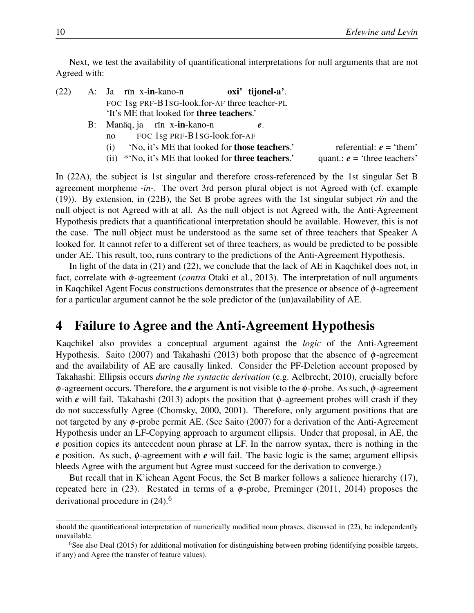Next, we test the availability of quantificational interpretations for null arguments that are not Agreed with:

- (22) A: Ja rïn x-**in**-kano-n FOC 1sg PRF-B1SG-look.for-AF three teacher-PL oxi' tijonel-a'. 'It's ME that looked for three teachers.'
	- B: Manäq, ja no FOC 1sg PRF-B1SG-look.for-AF rïn x-**in**-kano-n *e*.
		- (i) 'No, it's ME that looked for **those teachers**.' referential:  $e = 'them'$
		- (ii)  $*No$ , it's ME that looked for **three teachers**.' quant.:  $e = 'three$  teachers'

In (22A), the subject is 1st singular and therefore cross-referenced by the 1st singular Set B agreement morpheme *-in-*. The overt 3rd person plural object is not Agreed with (cf. example (19)). By extension, in (22B), the Set B probe agrees with the 1st singular subject *rïn* and the null object is not Agreed with at all. As the null object is not Agreed with, the Anti-Agreement Hypothesis predicts that a quantificational interpretation should be available. However, this is not the case. The null object must be understood as the same set of three teachers that Speaker A looked for. It cannot refer to a different set of three teachers, as would be predicted to be possible under AE. This result, too, runs contrary to the predictions of the Anti-Agreement Hypothesis.

In light of the data in (21) and (22), we conclude that the lack of AE in Kaqchikel does not, in fact, correlate with φ-agreement (*contra* Otaki et al., 2013). The interpretation of null arguments in Kaqchikel Agent Focus constructions demonstrates that the presence or absence of  $\phi$ -agreement for a particular argument cannot be the sole predictor of the (un)availability of AE.

## 4 Failure to Agree and the Anti-Agreement Hypothesis

Kaqchikel also provides a conceptual argument against the *logic* of the Anti-Agreement Hypothesis. Saito (2007) and Takahashi (2013) both propose that the absence of  $\phi$ -agreement and the availability of AE are causally linked. Consider the PF-Deletion account proposed by Takahashi: Ellipsis occurs *during the syntactic derivation* (e.g. Aelbrecht, 2010), crucially before φ-agreement occurs. Therefore, the *e* argument is not visible to the φ-probe. As such, φ-agreement with *e* will fail. Takahashi (2013) adopts the position that  $\phi$ -agreement probes will crash if they do not successfully Agree (Chomsky, 2000, 2001). Therefore, only argument positions that are not targeted by any  $\phi$ -probe permit AE. (See Saito (2007) for a derivation of the Anti-Agreement Hypothesis under an LF-Copying approach to argument ellipsis. Under that proposal, in AE, the *e* position copies its antecedent noun phrase at LF. In the narrow syntax, there is nothing in the *e* position. As such, φ-agreement with *e* will fail. The basic logic is the same; argument ellipsis bleeds Agree with the argument but Agree must succeed for the derivation to converge.)

But recall that in K'ichean Agent Focus, the Set B marker follows a salience hierarchy (17), repeated here in (23). Restated in terms of a  $\phi$ -probe, Preminger (2011, 2014) proposes the derivational procedure in  $(24)$ <sup>6</sup>

should the quantificational interpretation of numerically modified noun phrases, discussed in (22), be independently unavailable.

<sup>&</sup>lt;sup>6</sup>See also Deal (2015) for additional motivation for distinguishing between probing (identifying possible targets, if any) and Agree (the transfer of feature values).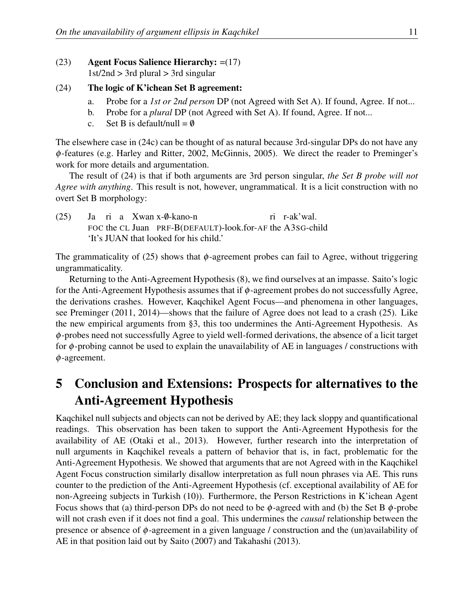#### (23) Agent Focus Salience Hierarchy: =(17)  $1st/2nd > 3rd$  plural  $> 3rd$  singular

#### (24) The logic of K'ichean Set B agreement:

- a. Probe for a *1st or 2nd person* DP (not Agreed with Set A). If found, Agree. If not...
- b. Probe for a *plural* DP (not Agreed with Set A). If found, Agree. If not...
- c. Set B is default/null =  $\emptyset$

The elsewhere case in (24c) can be thought of as natural because 3rd-singular DPs do not have any φ-features (e.g. Harley and Ritter, 2002, McGinnis, 2005). We direct the reader to Preminger's work for more details and argumentation.

The result of (24) is that if both arguments are 3rd person singular, *the Set B probe will not Agree with anything*. This result is not, however, ungrammatical. It is a licit construction with no overt Set B morphology:

 $(25)$ FOC the CL Juan PRF-B(DEFAULT)-look.for-AF the A3SG-child ri a Xwan x-0-kano-n ri r-ak'wal. 'It's JUAN that looked for his child.'

The grammaticality of (25) shows that  $\phi$ -agreement probes can fail to Agree, without triggering ungrammaticality.

Returning to the Anti-Agreement Hypothesis (8), we find ourselves at an impasse. Saito's logic for the Anti-Agreement Hypothesis assumes that if  $\phi$ -agreement probes do not successfully Agree, the derivations crashes. However, Kaqchikel Agent Focus—and phenomena in other languages, see Preminger (2011, 2014)—shows that the failure of Agree does not lead to a crash (25). Like the new empirical arguments from §3, this too undermines the Anti-Agreement Hypothesis. As  $\phi$ -probes need not successfully Agree to yield well-formed derivations, the absence of a licit target for  $\phi$ -probing cannot be used to explain the unavailability of AE in languages / constructions with φ-agreement.

# 5 Conclusion and Extensions: Prospects for alternatives to the Anti-Agreement Hypothesis

Kaqchikel null subjects and objects can not be derived by AE; they lack sloppy and quantificational readings. This observation has been taken to support the Anti-Agreement Hypothesis for the availability of AE (Otaki et al., 2013). However, further research into the interpretation of null arguments in Kaqchikel reveals a pattern of behavior that is, in fact, problematic for the Anti-Agreement Hypothesis. We showed that arguments that are not Agreed with in the Kaqchikel Agent Focus construction similarly disallow interpretation as full noun phrases via AE. This runs counter to the prediction of the Anti-Agreement Hypothesis (cf. exceptional availability of AE for non-Agreeing subjects in Turkish (10)). Furthermore, the Person Restrictions in K'ichean Agent Focus shows that (a) third-person DPs do not need to be  $\phi$ -agreed with and (b) the Set B  $\phi$ -probe will not crash even if it does not find a goal. This undermines the *causal* relationship between the presence or absence of φ-agreement in a given language / construction and the (un)availability of AE in that position laid out by Saito (2007) and Takahashi (2013).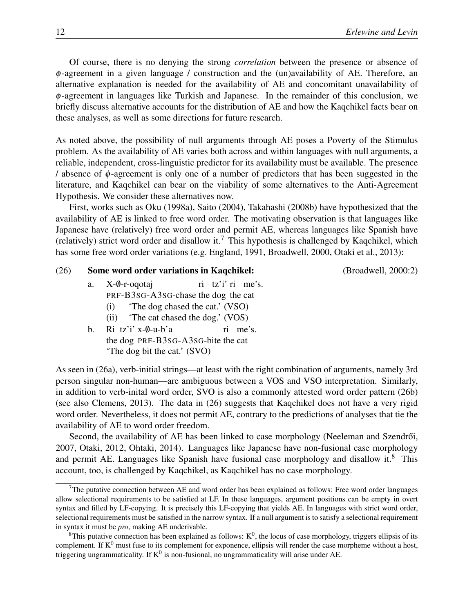Of course, there is no denying the strong *correlation* between the presence or absence of φ-agreement in a given language / construction and the (un)availability of AE. Therefore, an alternative explanation is needed for the availability of AE and concomitant unavailability of φ-agreement in languages like Turkish and Japanese. In the remainder of this conclusion, we briefly discuss alternative accounts for the distribution of AE and how the Kaqchikel facts bear on these analyses, as well as some directions for future research.

As noted above, the possibility of null arguments through AE poses a Poverty of the Stimulus problem. As the availability of AE varies both across and within languages with null arguments, a reliable, independent, cross-linguistic predictor for its availability must be available. The presence  $\theta$  absence of φ-agreement is only one of a number of predictors that has been suggested in the literature, and Kaqchikel can bear on the viability of some alternatives to the Anti-Agreement Hypothesis. We consider these alternatives now.

First, works such as Oku (1998a), Saito (2004), Takahashi (2008b) have hypothesized that the availability of AE is linked to free word order. The motivating observation is that languages like Japanese have (relatively) free word order and permit AE, whereas languages like Spanish have (relatively) strict word order and disallow it.<sup>7</sup> This hypothesis is challenged by Kaqchikel, which has some free word order variations (e.g. England, 1991, Broadwell, 2000, Otaki et al., 2013):

#### (26) Some word order variations in Kaqchikel: (Broadwell, 2000:2)

- a.  $X-\emptyset$ -r-oqotaj PRF-B3SG-A3SG-chase the dog the cat ri tz'i' ri me's. (i) 'The dog chased the cat.' (VSO)
	- (ii) 'The cat chased the dog.' (VOS)
- b. Ri tz'i' x-0-u-b'a the dog PRF-B3SG-A3SG-bite the cat ri me's. 'The dog bit the cat.' (SVO)

As seen in (26a), verb-initial strings—at least with the right combination of arguments, namely 3rd person singular non-human—are ambiguous between a VOS and VSO interpretation. Similarly, in addition to verb-inital word order, SVO is also a commonly attested word order pattern (26b) (see also Clemens, 2013). The data in (26) suggests that Kaqchikel does not have a very rigid word order. Nevertheless, it does not permit AE, contrary to the predictions of analyses that tie the availability of AE to word order freedom.

Second, the availability of AE has been linked to case morphology (Neeleman and Szendrői, 2007, Otaki, 2012, Ohtaki, 2014). Languages like Japanese have non-fusional case morphology and permit AE. Languages like Spanish have fusional case morphology and disallow it. $8$  This account, too, is challenged by Kaqchikel, as Kaqchikel has no case morphology.

 $7$ The putative connection between AE and word order has been explained as follows: Free word order languages allow selectional requirements to be satisfied at LF. In these languages, argument positions can be empty in overt syntax and filled by LF-copying. It is precisely this LF-copying that yields AE. In languages with strict word order, selectional requirements must be satisfied in the narrow syntax. If a null argument is to satisfy a selectional requirement in syntax it must be *pro*, making AE underivable.

 $8$ This putative connection has been explained as follows:  $K^0$ , the locus of case morphology, triggers ellipsis of its complement. If  $K^0$  must fuse to its complement for exponence, ellipsis will render the case morpheme without a host, triggering ungrammaticality. If  $K^0$  is non-fusional, no ungrammaticality will arise under AE.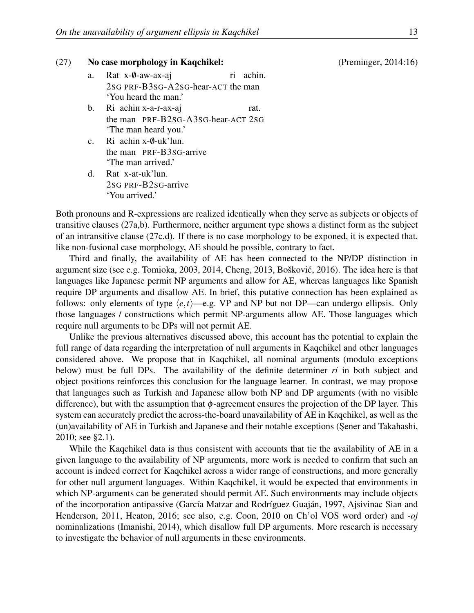#### (27) No case morphology in Kaqchikel: (Preminger, 2014:16)

- a. Rat x-0-aw-ax-aj 2SG PRF-B3SG-A2SG-hear-ACT the man ri achin. 'You heard the man.'
- b. Ri achin x-a-r-ax-aj the man PRF-B2SG-A3SG-hear-ACT 2SG rat. 'The man heard you.'
- c. Ri achin x-0-uk'lun. the man PRF-B3SG-arrive 'The man arrived.'
- d. Rat x-at-uk'lun. 2SG PRF-B2SG-arrive 'You arrived.'

Both pronouns and R-expressions are realized identically when they serve as subjects or objects of transitive clauses (27a,b). Furthermore, neither argument type shows a distinct form as the subject of an intransitive clause (27c,d). If there is no case morphology to be exponed, it is expected that, like non-fusional case morphology, AE should be possible, contrary to fact.

Third and finally, the availability of AE has been connected to the NP/DP distinction in argument size (see e.g. Tomioka, 2003, 2014, Cheng, 2013, Bošković, 2016). The idea here is that languages like Japanese permit NP arguments and allow for AE, whereas languages like Spanish require DP arguments and disallow AE. In brief, this putative connection has been explained as follows: only elements of type  $\langle e, t \rangle$ —e.g. VP and NP but not DP—can undergo ellipsis. Only those languages / constructions which permit NP-arguments allow AE. Those languages which require null arguments to be DPs will not permit AE.

Unlike the previous alternatives discussed above, this account has the potential to explain the full range of data regarding the interpretation of null arguments in Kaqchikel and other languages considered above. We propose that in Kaqchikel, all nominal arguments (modulo exceptions below) must be full DPs. The availability of the definite determiner *ri* in both subject and object positions reinforces this conclusion for the language learner. In contrast, we may propose that languages such as Turkish and Japanese allow both NP and DP arguments (with no visible difference), but with the assumption that  $\phi$ -agreement ensures the projection of the DP layer. This system can accurately predict the across-the-board unavailability of AE in Kaqchikel, as well as the (un)availability of AE in Turkish and Japanese and their notable exceptions (Sener and Takahashi, 2010; see §2.1).

While the Kaqchikel data is thus consistent with accounts that tie the availability of AE in a given language to the availability of NP arguments, more work is needed to confirm that such an account is indeed correct for Kaqchikel across a wider range of constructions, and more generally for other null argument languages. Within Kaqchikel, it would be expected that environments in which NP-arguments can be generated should permit AE. Such environments may include objects of the incorporation antipassive (García Matzar and Rodríguez Guaján, 1997, Ajsivinac Sian and Henderson, 2011, Heaton, 2016; see also, e.g. Coon, 2010 on Ch'ol VOS word order) and *-oj* nominalizations (Imanishi, 2014), which disallow full DP arguments. More research is necessary to investigate the behavior of null arguments in these environments.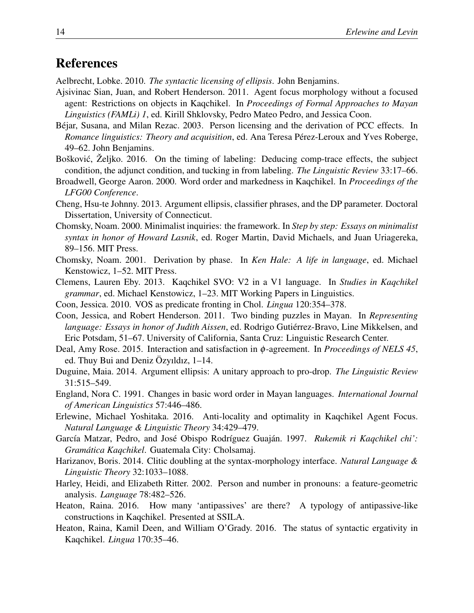# References

Aelbrecht, Lobke. 2010. *The syntactic licensing of ellipsis*. John Benjamins.

- Ajsivinac Sian, Juan, and Robert Henderson. 2011. Agent focus morphology without a focused agent: Restrictions on objects in Kaqchikel. In *Proceedings of Formal Approaches to Mayan Linguistics (FAMLi) 1*, ed. Kirill Shklovsky, Pedro Mateo Pedro, and Jessica Coon.
- Béjar, Susana, and Milan Rezac. 2003. Person licensing and the derivation of PCC effects. In *Romance linguistics: Theory and acquisition*, ed. Ana Teresa Pérez-Leroux and Yves Roberge, 49–62. John Benjamins.
- Bošković, Željko. 2016. On the timing of labeling: Deducing comp-trace effects, the subject condition, the adjunct condition, and tucking in from labeling. *The Linguistic Review* 33:17–66.
- Broadwell, George Aaron. 2000. Word order and markedness in Kaqchikel. In *Proceedings of the LFG00 Conference*.
- Cheng, Hsu-te Johnny. 2013. Argument ellipsis, classifier phrases, and the DP parameter. Doctoral Dissertation, University of Connecticut.
- Chomsky, Noam. 2000. Minimalist inquiries: the framework. In *Step by step: Essays on minimalist syntax in honor of Howard Lasnik*, ed. Roger Martin, David Michaels, and Juan Uriagereka, 89–156. MIT Press.
- Chomsky, Noam. 2001. Derivation by phase. In *Ken Hale: A life in language*, ed. Michael Kenstowicz, 1–52. MIT Press.
- Clemens, Lauren Eby. 2013. Kaqchikel SVO: V2 in a V1 language. In *Studies in Kaqchikel grammar*, ed. Michael Kenstowicz, 1–23. MIT Working Papers in Linguistics.
- Coon, Jessica. 2010. VOS as predicate fronting in Chol. *Lingua* 120:354–378.
- Coon, Jessica, and Robert Henderson. 2011. Two binding puzzles in Mayan. In *Representing language: Essays in honor of Judith Aissen*, ed. Rodrigo Gutiérrez-Bravo, Line Mikkelsen, and Eric Potsdam, 51–67. University of California, Santa Cruz: Linguistic Research Center.
- Deal, Amy Rose. 2015. Interaction and satisfaction in φ-agreement. In *Proceedings of NELS 45*, ed. Thuy Bui and Deniz Özyıldız, 1–14.
- Duguine, Maia. 2014. Argument ellipsis: A unitary approach to pro-drop. *The Linguistic Review* 31:515–549.
- England, Nora C. 1991. Changes in basic word order in Mayan languages. *International Journal of American Linguistics* 57:446–486.
- Erlewine, Michael Yoshitaka. 2016. Anti-locality and optimality in Kaqchikel Agent Focus. *Natural Language & Linguistic Theory* 34:429–479.
- García Matzar, Pedro, and José Obispo Rodríguez Guaján. 1997. *Rukemik ri Kaqchikel chi': Gramática Kaqchikel*. Guatemala City: Cholsamaj.
- Harizanov, Boris. 2014. Clitic doubling at the syntax-morphology interface. *Natural Language & Linguistic Theory* 32:1033–1088.
- Harley, Heidi, and Elizabeth Ritter. 2002. Person and number in pronouns: a feature-geometric analysis. *Language* 78:482–526.
- Heaton, Raina. 2016. How many 'antipassives' are there? A typology of antipassive-like constructions in Kaqchikel. Presented at SSILA.
- Heaton, Raina, Kamil Deen, and William O'Grady. 2016. The status of syntactic ergativity in Kaqchikel. *Lingua* 170:35–46.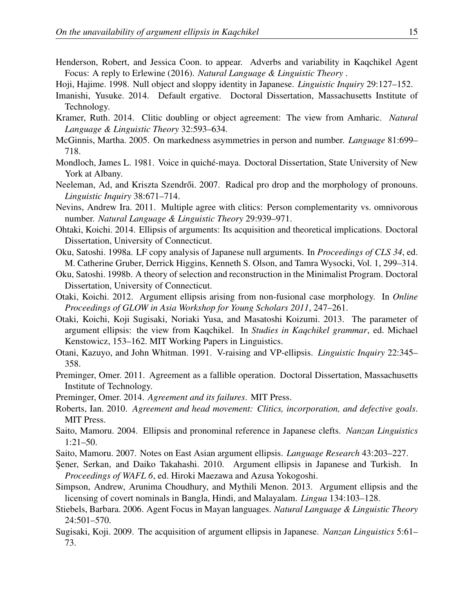- Henderson, Robert, and Jessica Coon. to appear. Adverbs and variability in Kaqchikel Agent Focus: A reply to Erlewine (2016). *Natural Language & Linguistic Theory* .
- Hoji, Hajime. 1998. Null object and sloppy identity in Japanese. *Linguistic Inquiry* 29:127–152.
- Imanishi, Yusuke. 2014. Default ergative. Doctoral Dissertation, Massachusetts Institute of Technology.
- Kramer, Ruth. 2014. Clitic doubling or object agreement: The view from Amharic. *Natural Language & Linguistic Theory* 32:593–634.
- McGinnis, Martha. 2005. On markedness asymmetries in person and number. *Language* 81:699– 718.
- Mondloch, James L. 1981. Voice in quiché-maya. Doctoral Dissertation, State University of New York at Albany.
- Neeleman, Ad, and Kriszta Szendrői. 2007. Radical pro drop and the morphology of pronouns. *Linguistic Inquiry* 38:671–714.
- Nevins, Andrew Ira. 2011. Multiple agree with clitics: Person complementarity vs. omnivorous number. *Natural Language & Linguistic Theory* 29:939–971.
- Ohtaki, Koichi. 2014. Ellipsis of arguments: Its acquisition and theoretical implications. Doctoral Dissertation, University of Connecticut.
- Oku, Satoshi. 1998a. LF copy analysis of Japanese null arguments. In *Proceedings of CLS 34*, ed. M. Catherine Gruber, Derrick Higgins, Kenneth S. Olson, and Tamra Wysocki, Vol. 1, 299–314.
- Oku, Satoshi. 1998b. A theory of selection and reconstruction in the Minimalist Program. Doctoral Dissertation, University of Connecticut.
- Otaki, Koichi. 2012. Argument ellipsis arising from non-fusional case morphology. In *Online Proceedings of GLOW in Asia Workshop for Young Scholars 2011*, 247–261.
- Otaki, Koichi, Koji Sugisaki, Noriaki Yusa, and Masatoshi Koizumi. 2013. The parameter of argument ellipsis: the view from Kaqchikel. In *Studies in Kaqchikel grammar*, ed. Michael Kenstowicz, 153–162. MIT Working Papers in Linguistics.
- Otani, Kazuyo, and John Whitman. 1991. V-raising and VP-ellipsis. *Linguistic Inquiry* 22:345– 358.
- Preminger, Omer. 2011. Agreement as a fallible operation. Doctoral Dissertation, Massachusetts Institute of Technology.
- Preminger, Omer. 2014. *Agreement and its failures*. MIT Press.
- Roberts, Ian. 2010. *Agreement and head movement: Clitics, incorporation, and defective goals*. MIT Press.
- Saito, Mamoru. 2004. Ellipsis and pronominal reference in Japanese clefts. *Nanzan Linguistics* 1:21–50.
- Saito, Mamoru. 2007. Notes on East Asian argument ellipsis. *Language Research* 43:203–227.
- ¸Sener, Serkan, and Daiko Takahashi. 2010. Argument ellipsis in Japanese and Turkish. In *Proceedings of WAFL 6*, ed. Hiroki Maezawa and Azusa Yokogoshi.
- Simpson, Andrew, Arunima Choudhury, and Mythili Menon. 2013. Argument ellipsis and the licensing of covert nominals in Bangla, Hindi, and Malayalam. *Lingua* 134:103–128.
- Stiebels, Barbara. 2006. Agent Focus in Mayan languages. *Natural Language & Linguistic Theory* 24:501–570.
- Sugisaki, Koji. 2009. The acquisition of argument ellipsis in Japanese. *Nanzan Linguistics* 5:61– 73.